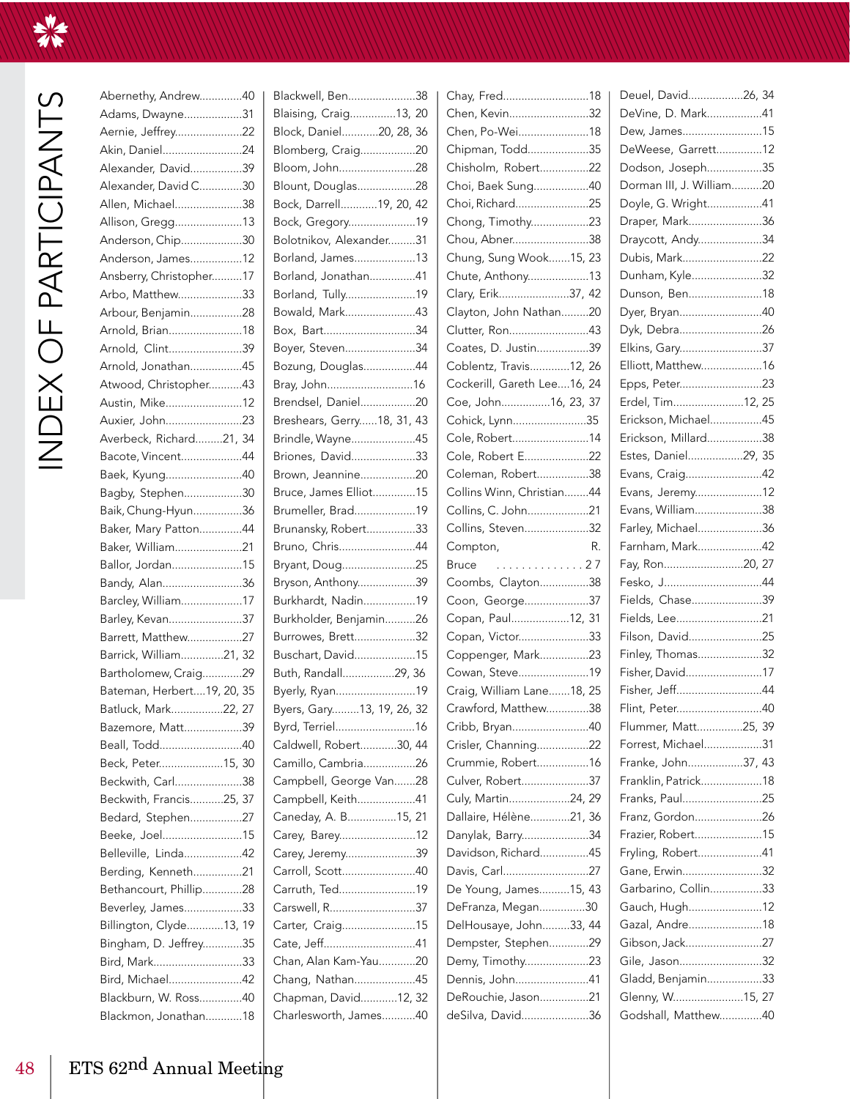| Abernethy, Andrew40        | Bla        |
|----------------------------|------------|
| Adams, Dwayne31            | Bla        |
| Aernie, Jeffrey22          | Blo        |
| Akin, Daniel24             | Blo        |
| Alexander, David39         | Blo        |
| Alexander, David C30       | Blo        |
| Allen, Michael38           | Boo        |
| Allison, Gregg13           | Boo        |
| Anderson, Chip30           | Bol        |
| Anderson, James12          | Bor        |
| Ansberry, Christopher17    | Bor        |
| Arbo, Matthew33            | Bor        |
| Arbour, Benjamin28         | B٥         |
| Arnold, Brian18            | Bo>        |
| Arnold, Clint39            | Boy        |
| Arnold, Jonathan45         | Boz        |
| Atwood, Christopher43      | Bra        |
| Austin, Mike12             | <b>Bre</b> |
| Auxier, John23             | Bre        |
| Averbeck, Richard21, 34    | Brir       |
| Bacote, Vincent44          | Bric       |
| Baek, Kyung40              | Bro        |
| Bagby, Stephen30           | Bru        |
| Baik, Chung-Hyun36         | Bru        |
| Baker, Mary Patton44       | Bru        |
| Baker, William21           | Bru        |
| Ballor, Jordan15           | <b>Bry</b> |
| Bandy, Alan36              | Bry        |
| Barcley, William17         | Bur        |
| Barley, Kevan37            | Bur        |
| Barrett, Matthew27         | Bur        |
| Barrick, William21, 32     | Bus        |
| Bartholomew, Craig29       | But        |
| Bateman, Herbert19, 20, 35 | Bye        |
| Batluck, Mark22, 27        | Bye        |
| Bazemore, Matt39           | Byr        |
| Beall, Todd40              | Cal        |
| Beck, Peter15, 30          | Car        |
| Beckwith, Carl38           | Car        |
| Beckwith, Francis25, 37    | Car        |
| Bedard, Stephen27          | Car        |
| Beeke, Joel15              | Car        |
| Belleville, Linda42        | Car        |
| Berding, Kenneth21         | Car        |
| Bethancourt, Phillip28     | Car        |
| Beverley, James33          | Car        |
| Billington, Clyde13, 19    | Car        |
| Bingham, D. Jeffrey35      | Cat        |
| Bird, Mark33               | Cha        |
| Bird, Michael42            | Cha        |
| Blackburn, W. Ross40       | Cha        |
| Blackmon, Jonathan18       | Cha        |

| lackwell, Ben38                                |
|------------------------------------------------|
| laising, Craig13, 20                           |
| lock, Daniel20, 28, 36                         |
| lomberg, Craig20                               |
| loom, John28                                   |
| lount, Douglas28                               |
| ock, Darrell19, 20, 42                         |
| ock, Gregory19                                 |
| olotnikov, Alexander31                         |
| orland, James13                                |
| orland, Jonathan41                             |
| orland, Tully19                                |
| owald, Mark43                                  |
| ox, Bart34                                     |
| oyer, Steven34                                 |
| ozung, Douglas44                               |
| ray, John16                                    |
| rendsel, Daniel20                              |
| reshears, Gerry18, 31, 43                      |
| rindle, Wayne45                                |
| riones, David33                                |
| rown, Jeannine20                               |
| ruce, James Elliot15                           |
| rumeller, Brad19                               |
| runansky, Robert33                             |
| runo, Chris44                                  |
| ryant, Doug25                                  |
| ryson, Anthony39                               |
| urkhardt, Nadin19                              |
| urkholder, Benjamin26                          |
| urrowes, Brett32                               |
| uschart, David15                               |
| uth, Randall29, 36                             |
| yerly, Ryan19                                  |
| yers, Gary13, 19, 26, 32                       |
| yrd, Terriel16                                 |
| aldwell, Robert30, 44                          |
| amillo, Cambria26                              |
| ampbell, George Van28                          |
| ampbell, Keith41                               |
| aneday, A. B15, 21                             |
| arey, Barey12                                  |
| arey, Jeremy39                                 |
| arroll, Scott40                                |
| arruth, Ted19                                  |
| arswell, R37                                   |
| arter, Craig15                                 |
| ate, Jeff41                                    |
| han, Alan Kam-Yau20                            |
| hang, Nathan45                                 |
| hapman, David12, <mark>3</mark> 2 <sup>.</sup> |
| harlesworth, James40                           |

| Chay, Fred18                           |
|----------------------------------------|
| Chen, Kevin32                          |
| Chen, Po-Wei18                         |
| Chipman, Todd35                        |
| Chisholm, Robert22                     |
| Choi, Baek Sung40                      |
| Choi, Richard25                        |
| Chong, Timothy23                       |
| Chou, Abner38                          |
| Chung, Sung Wook15, 23                 |
| Chute, Anthony13                       |
| Clary, Erik37, 42                      |
| Clayton, John Nathan20                 |
| Clutter, Ron43                         |
| Coates, D. Justin39                    |
| Coblentz, Travis12, 26                 |
| Cockerill, Gareth Lee16, 24            |
| Coe, John16, 23, 37                    |
| Cohick, Lynn35                         |
| Cole, Robert14                         |
| Cole, Robert E22                       |
| Coleman, Robert38                      |
| Collins Winn, Christian44              |
| Collins, C. John21                     |
| Collins, Steven32                      |
| R.<br>Compton,                         |
| . 27<br>Bruce                          |
| Coombs, Clayton38                      |
| Coon, George37                         |
| Copan, Paul12, 31                      |
| Copan, Victor33                        |
| Coppenger, Mark23                      |
| Cowan, Steve19                         |
| Craig, William Lane18, 25              |
| Crawford, Matthew38                    |
| Cribb, Bryan40                         |
| Crisler, Channing22                    |
| Crummie, Robert16                      |
| Culver, Robert37                       |
| Culy, Martin24, 29                     |
|                                        |
| Dallaire, Hélène21, 36                 |
| Danylak, Barry34                       |
| Davidson, Richard45                    |
|                                        |
| Davis, Carl27<br>De Young, James15, 43 |
| DeFranza, Megan30                      |
| DelHousaye, John33, 44                 |
| Dempster, Stephen29                    |
| Demy, Timothy23                        |
| Dennis, John41                         |
| DeRouchie, Jason21                     |
| deSilva, David36                       |

| Deuel, David26, 34       |  |
|--------------------------|--|
| DeVine, D. Mark41        |  |
| Dew, James15             |  |
| DeWeese, Garrett12       |  |
| Dodson, Joseph35         |  |
| Dorman III, J. William20 |  |
| Doyle, G. Wright41       |  |
| Draper, Mark36           |  |
| Draycott, Andy34         |  |
| Dubis, Mark22            |  |
| Dunham, Kyle32           |  |
| Dunson, Ben18            |  |
|                          |  |
| Dyer, Bryan40            |  |
| Dyk, Debra26             |  |
| Elkins, Gary37           |  |
| Elliott, Matthew16       |  |
| Epps, Peter23            |  |
| Erdel, Tim12, 25         |  |
| Erickson, Michael45      |  |
| Erickson, Millard38      |  |
| Estes, Daniel29, 35      |  |
| Evans, Craig42           |  |
| Evans, Jeremy12          |  |
| Evans, William38         |  |
| Farley, Michael36        |  |
|                          |  |
|                          |  |
| Farnham, Mark42          |  |
| Fay, Ron20, 27           |  |
| Fesko, J44               |  |
| Fields, Chase39          |  |
| Fields, Lee21            |  |
| Filson, David25          |  |
| Finley, Thomas32         |  |
| Fisher, David17          |  |
| Fisher, Jeff44           |  |
| Flint, Peter40           |  |
| Flummer, Matt25, 39      |  |
|                          |  |
| Forrest, Michael31       |  |
| Franke, John37, 43       |  |
| Franklin, Patrick18      |  |
| Franks, Paul25           |  |
| Franz, Gordon26          |  |
| Frazier, Robert15        |  |
| Fryling, Robert41        |  |
| Gane, Erwin32            |  |
| Garbarino, Collin33      |  |
| Gauch, Hugh12            |  |
| Gazal, Andre18           |  |
| Gibson, Jack27           |  |
| Gile, Jason32            |  |
| Gladd, Benjamin33        |  |
| Glenny, W15, 27          |  |
| Godshall, Matthew40      |  |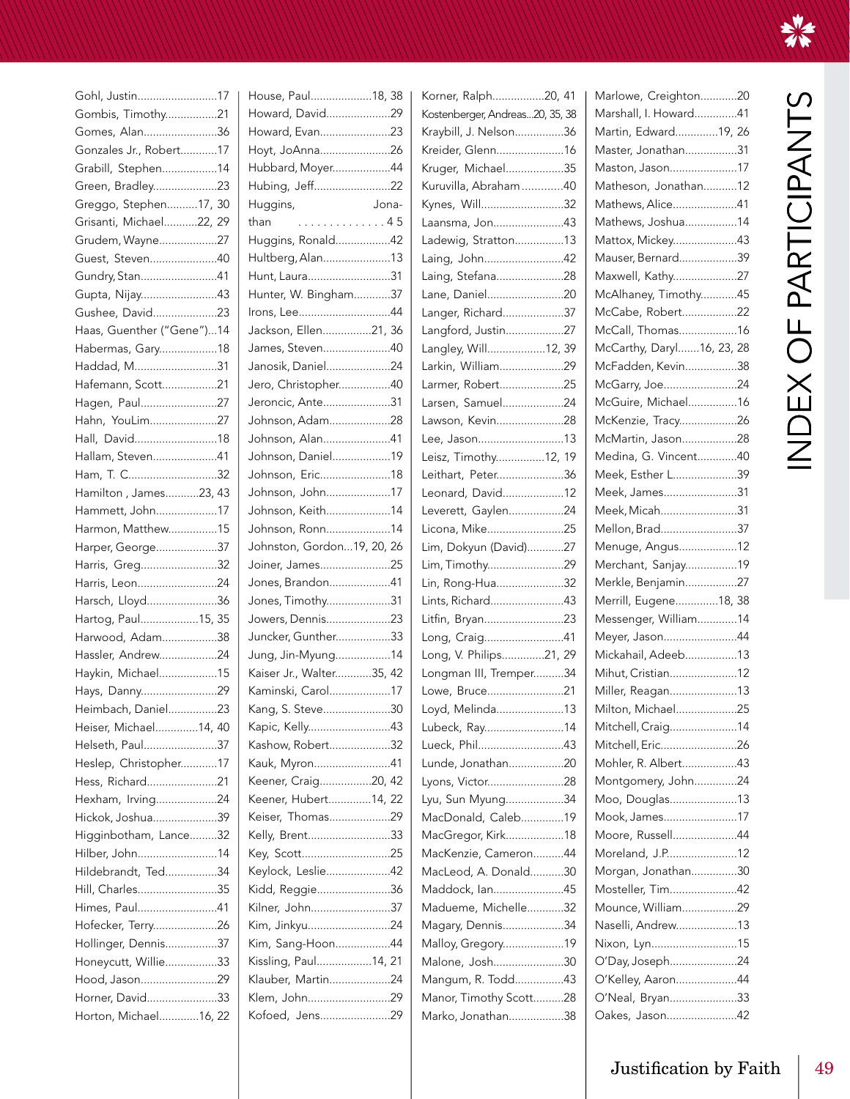

| Gohl, Justin17            |
|---------------------------|
| Gombis, Timothy21         |
| Gomes, Alan36             |
| Gonzales Jr., Robert17    |
| Grabill, Stephen14        |
| Green, Bradley23          |
| Greggo, Stephen17, 30     |
| Grisanti, Michael22, 29   |
| Grudem, Wayne27           |
| Guest, Steven40           |
| Gundry, Stan41            |
| Gupta, Nijay43            |
| Gushee, David23           |
| Haas, Guenther ("Gene")14 |
| Habermas, Gary18          |
| Haddad, M31               |
|                           |
| Hafemann, Scott21         |
| Hagen, Paul27             |
| Hahn, YouLim27            |
| Hall, David18             |
| Hallam, Steven41          |
| Ham, T. C32               |
| Hamilton, James23, 43     |
| Hammett, John17           |
| Harmon, Matthew15         |
| Harper, George37          |
| Harris, Greg32            |
| Harris, Leon24            |
| Harsch, Lloyd36           |
| Hartog, Paul15, 35        |
| Harwood, Adam38           |
| Hassler, Andrew24         |
| Haykin, Michael15         |
|                           |
| Hays, Danny29             |
| Heimbach, Daniel23        |
| Heiser, Michael14, 40     |
| Helseth, Paul37           |
| Heslep, Christopher17     |
| Hess, Richard21           |
| Hexham, Irving24          |
| Hickok, Joshua39          |
| Higginbotham, Lance32     |
| Hilber, John14            |
| Hildebrandt, Ted34        |
| Hill, Charles35           |
| Himes, Paul41             |
| Hofecker, Terry26         |
| Hollinger, Dennis37       |
| Honeycutt, Willie33       |
| Hood, Jason29             |
| Horner, David33           |
| Horton, Michael16, 22     |
|                           |

| House, Paul18, 38                             |       |
|-----------------------------------------------|-------|
| Howard, David29                               |       |
| Howard, Evan23                                |       |
| Hoyt, JoAnna26                                |       |
| Hubbard, Moyer44                              |       |
| Hubing, Jeff22                                |       |
| Huggins,                                      | Jona- |
| . 45<br>than                                  |       |
| Huggins, Ronald42                             |       |
| Hultberg, Alan13                              |       |
| Hunt, Laura31                                 |       |
| Hunter, W. Bingham37                          |       |
| Irons, Lee44                                  |       |
| Jackson, Ellen21, 36                          |       |
| James, Steven40                               |       |
| Janosik, Daniel24                             |       |
| Jero, Christopher40                           |       |
| Jeroncic, Ante31                              |       |
| Johnson, Adam28                               |       |
| Johnson, Alan41                               |       |
| Johnson, Daniel19                             |       |
| Johnson, Eric18                               |       |
| Johnson, John17                               |       |
| Johnson, Keith14                              |       |
|                                               |       |
| Johnson, Ronn14<br>Johnston, Gordon19, 20, 26 |       |
|                                               |       |
| Joiner, James25                               |       |
| Jones, Brandon41                              |       |
| Jones, Timothy31                              |       |
| Jowers, Dennis23                              |       |
| Juncker, Gunther33                            |       |
| Jung, Jin-Myung14                             |       |
| Kaiser Jr., Walter35, 42                      |       |
| Kaminski, Carol17                             |       |
| Kang, S. Steve30                              |       |
| Kapic, Kelly43                                |       |
| Kashow, Robert32                              |       |
| Kauk, Myron41                                 |       |
| Keener, Craig20, 42                           |       |
| Keener, Hubert14, 22                          |       |
| Keiser, Thomas29                              |       |
| Kelly, Brent33                                |       |
| Key, Scott25                                  |       |
| Keylock, Leslie42                             |       |
| Kidd, Reggie36                                |       |
| Kilner, John37                                |       |
| Kim, Jinkyu24                                 |       |
| Kim, Sang-Hoon44                              |       |
| Kissling, Paul14, 21                          |       |
| Klauber, Martin24                             |       |
| Klem, John29                                  |       |
| Kofoed, Jens29                                |       |

| Korner, Ralph20, 41             |
|---------------------------------|
| Kostenberger, Andreas20, 35, 38 |
| Kraybill, J. Nelson36           |
| Kreider, Glenn16                |
| Kruger, Michael35               |
| Kuruvilla, Abraham40            |
| Kynes, Will32                   |
| Laansma, Jon43                  |
| Ladewig, Stratton13             |
| Laing, John42                   |
| Laing, Stefana28                |
| Lane, Daniel20                  |
| Langer, Richard37               |
| Langford, Justin27              |
| Langley, Will12, 39             |
| Larkin, William29               |
|                                 |
| Larmer, Robert25                |
| Larsen, Samuel24                |
| Lawson, Kevin28                 |
| Lee, Jason13                    |
| Leisz, Timothy12, 19            |
| Leithart, Peter36               |
| Leonard, David12                |
| Leverett, Gaylen24              |
| Licona, Mike25                  |
| Lim, Dokyun (David)27           |
| Lim, Timothy29                  |
| Lin, Rong-Hua32                 |
| Lints, Richard43                |
| Litfin, Bryan23                 |
| Long, Craig41                   |
| Long, V. Philips21, 29          |
| Longman III, Tremper34          |
| Lowe, Bruce21                   |
| Loyd, Melinda13                 |
|                                 |
| Lubeck, Ray14                   |
| Lueck, Phil43                   |
| Lunde, Jonathan20               |
| Lyons, Victor28                 |
| Lyu, Sun Myung34                |
| MacDonald, Caleb19              |
| MacGregor, Kirk18               |
| MacKenzie, Cameron44            |
| MacLeod, A. Donald30            |
| Maddock, Ian45                  |
| Madueme, Michelle32             |
| Magary, Dennis34                |
| Malloy, Gregory19               |
| Malone, Josh30                  |
| Mangum, R. Todd43               |
| Manor, Timothy Scott28          |
| Marko, Jonathan38               |

| Marlowe, Creighton20              |
|-----------------------------------|
| Marshall, I. Howard41             |
| Martin, Edward19, 26              |
| Master, Jonathan31                |
| Maston, Jason17                   |
| Matheson, Jonathan12              |
| Mathews, Alice41                  |
| Mathews, Joshua14                 |
| Mattox, Mickey43                  |
| Mauser, Bernard39                 |
| Maxwell, Kathy27                  |
| McAlhaney, Timothy45              |
| McCabe, Robert22                  |
| McCall, Thomas16                  |
| McCarthy, Daryl16, 23, 28         |
| McFadden, Kevin38                 |
| McGarry, Joe24                    |
| McGuire, Michael16                |
|                                   |
| McKenzie, Tracy26                 |
| McMartin, Jason28                 |
| Medina, G. Vincent40              |
| Meek, Esther L39                  |
| Meek, James31                     |
| Meek, Micah31                     |
| Mellon, Brad37                    |
| Menuge, Angus12                   |
| Merchant, Sanjay19                |
| Merkle, Benjamin27                |
| Merrill, Eugene18, 38             |
| Messenger, William14              |
| Meyer, Jason44                    |
| Mickahail, Adeeb13                |
| Mihut, Cristian12                 |
| Miller, Reagan13                  |
| Milton, Michael25                 |
| Mitchell, Craig14                 |
| Mitchell, Eric26                  |
| Mohler, R. Albert43               |
| Montgomery, John24                |
| Moo, Douglas13                    |
| Mook, James17                     |
| Moore, Russell44                  |
| Moreland, J.P12                   |
| Morgan, Jonathan30                |
| Mosteller, Tim42                  |
| Mounce, William29                 |
| Naselli, Andrew13                 |
| Nixon, Lyn15                      |
|                                   |
|                                   |
| O'Day, Joseph24                   |
| O'Kelley, Aaron44                 |
| O'Neal, Bryan33<br>Oakes, Jason42 |

## INDEX OF PARTICIPANTS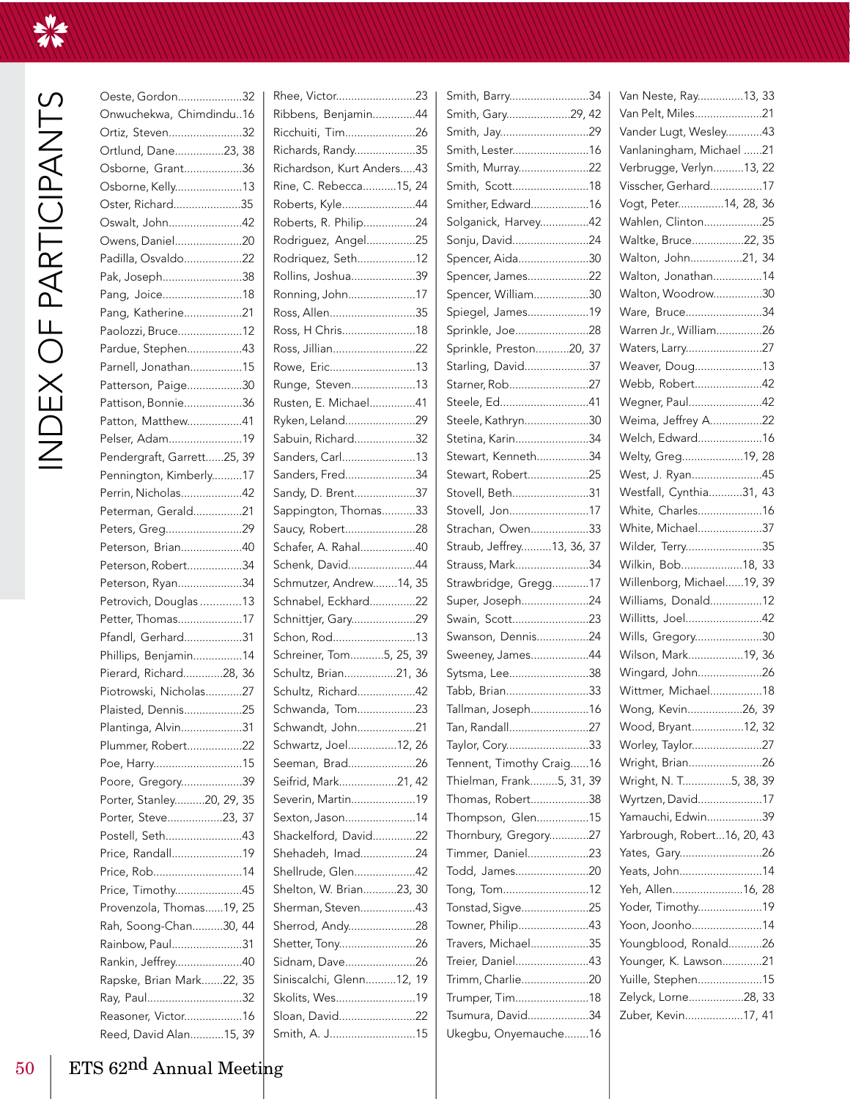| Oeste, Gordon32            | Rhee               |
|----------------------------|--------------------|
| Onwuchekwa, Chimdindu16    | Ribb               |
| Ortiz, Steven32            | Ricch              |
| Ortlund, Dane23, 38        | Richa              |
| Osborne, Grant36           | Richa              |
| Osborne, Kelly13           | Rine,              |
| Oster, Richard35           | Robe               |
| Oswalt, John42             | Robe               |
| Owens, Daniel20            | Rodr               |
| Padilla, Osvaldo22         | Rodr               |
| Pak, Joseph38              | Rollir             |
| Pang, Joice18              | Ronr               |
| Pang, Katherine21          | Ross               |
| Paolozzi, Bruce12          | Ross               |
| Pardue, Stephen43          | Ross               |
| Parnell, Jonathan15        | Rowe               |
| Patterson, Paige30         | Runc               |
| Pattison, Bonnie36         | Ruste              |
| Patton, Matthew41          | Ryke               |
| Pelser, Adam19             | Sabu               |
| Pendergraft, Garrett25, 39 | Sand               |
| Pennington, Kimberly17     | Sand               |
|                            | Sand               |
| Perrin, Nicholas42         |                    |
| Peterman, Gerald21         | Sapp               |
| Peters, Greg29             | Sauc               |
| Peterson, Brian40          | Scha               |
| Peterson, Robert34         | Sche               |
| Peterson, Ryan34           | Schm               |
| Petrovich, Douglas 13      | Schn               |
| Petter, Thomas17           | Schn               |
| Pfandl, Gerhard31          | Scho               |
| Phillips, Benjamin14       | Schre              |
| Pierard, Richard28, 36     | Schu               |
| Piotrowski, Nicholas27     | Schu               |
| Plaisted, Dennis25         | Schw               |
| Plantinga, Alvin31         | Schw               |
| Plummer, Robert22          | Schw               |
| Poe, Harry15               | Seen               |
| Poore, Gregory39           | Seifri             |
| Porter, Stanley20, 29, 35  | Seve               |
| Porter, Steve23, 37        | Sexto              |
| Postell, Seth43            | Shac               |
| Price, Randall19           | Sheh               |
| Price, Rob14               | Shell              |
| Price, Timothy45           | Shelt              |
| Provenzola, Thomas19, 25   | Sheri              |
| Rah, Soong-Chan30, 44      | Sheri              |
| Rainbow, Paul31            | Shet               |
| Rankin, Jeffrey40          | Sidna              |
| Rapske, Brian Mark22, 35   | Sinis <sub>'</sub> |
| Ray, Paul32                | Skoli              |
| Reasoner, Victor16         | Sloar              |
| Reed, David Alan15, 39     | Smitl              |

| hee, Victor23                 |
|-------------------------------|
| ibbens, Benjamin44            |
| icchuiti, Tim26               |
| ichards, Randy35              |
| ichardson, Kurt Anders43      |
| ine, C. Rebecca15, 24         |
| oberts, Kyle44                |
| oberts, R. Philip24           |
| odriguez, Angel25             |
| odriquez, Seth12              |
| ollins, Joshua39              |
| onning, John17                |
| oss, Allen35                  |
| oss, H Chris18                |
| oss, Jillian22                |
| owe, Eric13                   |
| unge, Steven13                |
| usten, E. Michael41           |
| yken, Leland29                |
| abuin, Richard32              |
| anders, Carl13                |
| anders, Fred34                |
| andy, D. Brent37              |
| appington, Thomas33           |
| aucy, Robert28                |
| chafer, A. Rahal40            |
| chenk, David44                |
|                               |
| chmutzer, Andrew14, 35        |
| chnabel, Eckhard22            |
| chnittjer, Gary29             |
| chon, Rod13                   |
| chreiner, Tom5, 25, 39        |
| chultz, Brian21, 36           |
| chultz, Richard42             |
|                               |
| chwanda, Tom23                |
| chwandt, John21               |
| chwartz, Joel12, 26           |
| eeman, Brad26                 |
| eifrid, Mark21, 42            |
| everin, Martin19              |
| exton, Jason14                |
| hackelford, David22           |
| hehadeh, Imad24               |
| hellrude, Glen42              |
| helton, W. Brian23, 30        |
| herman, Steven43              |
| herrod, Andy28                |
| hetter, Tony26                |
| idnam, Dave26                 |
| iniscalchi, Glenn12, 19       |
| kolits, Wes19                 |
| loan, David22<br>mith, A. J15 |

| Smith, Barry34            |
|---------------------------|
| Smith, Gary29, 42         |
| Smith, Jay29              |
| Smith, Lester16           |
| Smith, Murray22           |
| Smith, Scott18            |
| Smither, Edward16         |
| Solganick, Harvey42       |
| Sonju, David24            |
| Spencer, Aida30           |
| Spencer, James22          |
| Spencer, William30        |
| Spiegel, James19          |
| Sprinkle, Joe28           |
| Sprinkle, Preston20, 37   |
| Starling, David37         |
| Starner, Rob27            |
| Steele, Ed41              |
| Steele, Kathryn30         |
| Stetina, Karin34          |
| Stewart, Kenneth34        |
| Stewart, Robert25         |
| Stovell, Beth31           |
| Stovell, Jon17            |
| Strachan, Owen33          |
| Straub, Jeffrey13, 36, 37 |
| Strauss, Mark34           |
| Strawbridge, Gregg17      |
| Super, Joseph24           |
| Swain, Scott23            |
| Swanson, Dennis24         |
| Sweeney, James44          |
| Sytsma, Lee38             |
| Tabb, Brian33             |
| Tallman, Joseph16         |
| Tan, Randall27            |
| Taylor, Cory33            |
| Tennent, Timothy Craig16  |
| Thielman, Frank5, 31, 39  |
| Thomas, Robert38          |
| Thompson, Glen15          |
| Thornbury, Gregory27      |
| Timmer, Daniel23          |
| Todd, James20             |
| Tong, Tom12               |
| Tonstad, Sigve25          |
| Towner, Philip43          |
| Travers, Michael35        |
| Treier, Daniel43          |
| Trimm, Charlie20          |
| Trumper, Tim18            |
| Tsumura, David34          |
| Ukegbu, Onyemauche16      |

| Van Neste, Ray13, 33        |  |
|-----------------------------|--|
| Van Pelt, Miles21           |  |
| Vander Lugt, Wesley43       |  |
| Vanlaningham, Michael 21    |  |
| Verbrugge, Verlyn13, 22     |  |
| Visscher, Gerhard17         |  |
| Vogt, Peter14, 28, 36       |  |
| Wahlen, Clinton25           |  |
| Waltke, Bruce22, 35         |  |
|                             |  |
| Walton, John21, 34          |  |
| Walton, Jonathan14          |  |
| Walton, Woodrow30           |  |
| Ware, Bruce34               |  |
| Warren Jr., William26       |  |
| Waters, Larry27             |  |
| Weaver, Doug13              |  |
| Webb, Robert42              |  |
| Wegner, Paul42              |  |
| Weima, Jeffrey A22          |  |
| Welch, Edward16             |  |
| Welty, Greg19, 28           |  |
|                             |  |
| West, J. Ryan45             |  |
| Westfall, Cynthia31, 43     |  |
| White, Charles16            |  |
| White, Michael37            |  |
| Wilder, Terry35             |  |
| Wilkin, Bob18, 33           |  |
| Willenborg, Michael19, 39   |  |
| Williams, Donald12          |  |
| Willitts, Joel42            |  |
| Wills, Gregory30            |  |
| Wilson, Mark19, 36          |  |
| Wingard, John26             |  |
| Wittmer, Michael18          |  |
| Wong, Kevin26, 39           |  |
|                             |  |
| Wood, Bryant12, 32          |  |
| Worley, Taylor27            |  |
| Wright, Brian26             |  |
| Wright, N. T5, 38, 39       |  |
| Wyrtzen, David17            |  |
| Yamauchi, Edwin39           |  |
| Yarbrough, Robert16, 20, 43 |  |
| Yates, Gary26               |  |
| Yeats, John14               |  |
| Yeh, Allen16, 28            |  |
| Yoder, Timothy19            |  |
| Yoon, Joonho14              |  |
| Youngblood, Ronald26        |  |
|                             |  |
| Younger, K. Lawson21        |  |
| Yuille, Stephen15           |  |
| Zelyck, Lorne28, 33         |  |
| Zuber, Kevin17, 41          |  |
|                             |  |

ETS 62nd Annual Meeting